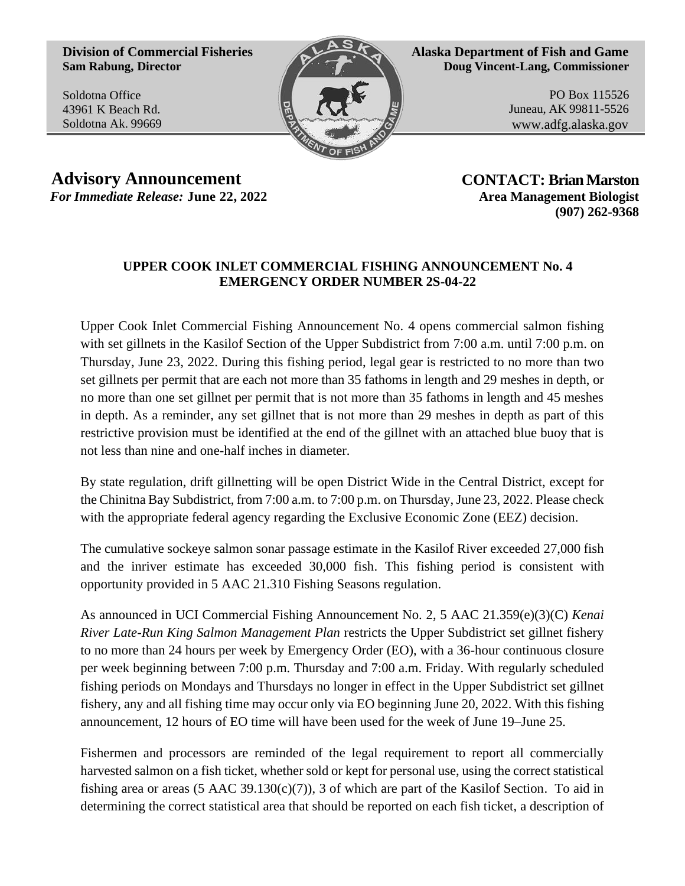**Division of Commercial Fisheries Sam Rabung, Director**

Soldotna Office 43961 K Beach Rd. Soldotna Ak. 99669



**Alaska Department of Fish and Game Doug Vincent-Lang, Commissioner**

> PO Box 115526 Juneau, AK 99811-5526 [www.adfg.alaska.gov](http://www.adfg.alaska.gov/)

**Advisory Announcement CONTACT: Brian Marston** *For Immediate Release:* June 22, 2022 **Area Management Biologist** 

**(907) 262-9368**

## **UPPER COOK INLET COMMERCIAL FISHING ANNOUNCEMENT No. 4 EMERGENCY ORDER NUMBER 2S-04-22**

Upper Cook Inlet Commercial Fishing Announcement No. 4 opens commercial salmon fishing with set gillnets in the Kasilof Section of the Upper Subdistrict from 7:00 a.m. until 7:00 p.m. on Thursday, June 23, 2022. During this fishing period, legal gear is restricted to no more than two set gillnets per permit that are each not more than 35 fathoms in length and 29 meshes in depth, or no more than one set gillnet per permit that is not more than 35 fathoms in length and 45 meshes in depth. As a reminder, any set gillnet that is not more than 29 meshes in depth as part of this restrictive provision must be identified at the end of the gillnet with an attached blue buoy that is not less than nine and one-half inches in diameter.

By state regulation, drift gillnetting will be open District Wide in the Central District, except for the Chinitna Bay Subdistrict, from 7:00 a.m. to 7:00 p.m. on Thursday, June 23, 2022. Please check with the appropriate federal agency regarding the Exclusive Economic Zone (EEZ) decision.

The cumulative sockeye salmon sonar passage estimate in the Kasilof River exceeded 27,000 fish and the inriver estimate has exceeded 30,000 fish. This fishing period is consistent with opportunity provided in 5 AAC 21.310 Fishing Seasons regulation.

As announced in UCI Commercial Fishing Announcement No. 2, 5 AAC 21.359(e)(3)(C) *Kenai River Late-Run King Salmon Management Plan* restricts the Upper Subdistrict set gillnet fishery to no more than 24 hours per week by Emergency Order (EO), with a 36-hour continuous closure per week beginning between 7:00 p.m. Thursday and 7:00 a.m. Friday. With regularly scheduled fishing periods on Mondays and Thursdays no longer in effect in the Upper Subdistrict set gillnet fishery, any and all fishing time may occur only via EO beginning June 20, 2022. With this fishing announcement, 12 hours of EO time will have been used for the week of June 19–June 25.

Fishermen and processors are reminded of the legal requirement to report all commercially harvested salmon on a fish ticket, whether sold or kept for personal use, using the correct statistical fishing area or areas (5 AAC 39.130(c)(7)), 3 of which are part of the Kasilof Section. To aid in determining the correct statistical area that should be reported on each fish ticket, a description of